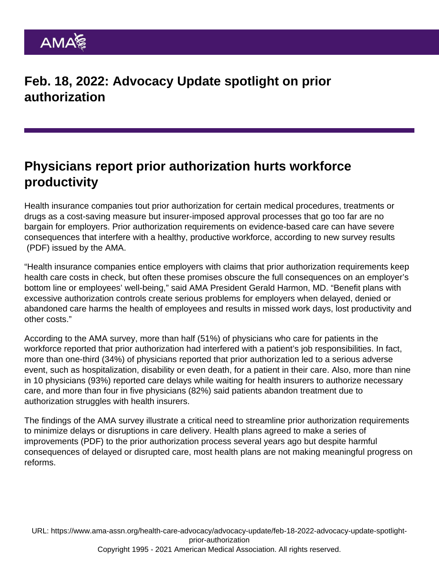## Physicians report prior authorization hurts workforce productivity

Health insurance companies tout prior authorization for certain medical procedures, treatments or drugs as a cost-saving measure but insurer-imposed approval processes that go too far are no bargain for employers. Prior authorization requirements on evidence-based care can have severe consequences that interfere with a healthy, productive workforce, according to [new survey results](https://www.ama-assn.org/system/files/prior-authorization-survey.pdf) (PDF) issued by the AMA.

"Health insurance companies entice employers with claims that prior authorization requirements keep health care costs in check, but often these promises obscure the full consequences on an employer's bottom line or employees' well-being," said AMA President Gerald Harmon, MD. "Benefit plans with excessive authorization controls create serious problems for employers when delayed, denied or abandoned care harms the health of employees and results in missed work days, lost productivity and other costs."

According to the AMA survey, more than half (51%) of physicians who care for patients in the workforce reported that prior authorization had interfered with a patient's job responsibilities. In fact, more than one-third (34%) of physicians reported that prior authorization led to a serious adverse event, such as hospitalization, disability or even death, for a patient in their care. Also, more than nine in 10 physicians (93%) reported care delays while waiting for health insurers to authorize necessary care, and more than four in five physicians (82%) said patients abandon treatment due to authorization struggles with health insurers.

The findings of the AMA survey illustrate a critical need to streamline prior authorization requirements to minimize delays or disruptions in care delivery. Health plans agreed to make a [series of](https://www.ama-assn.org/sites/ama-assn.org/files/corp/media-browser/public/arc-public/prior-authorization-consensus-statement.pdf) [improvements](https://www.ama-assn.org/sites/ama-assn.org/files/corp/media-browser/public/arc-public/prior-authorization-consensus-statement.pdf) (PDF) to the prior authorization process several years ago but despite harmful consequences of delayed or disrupted care, most health plans are not making meaningful progress on reforms.

URL: [https://www.ama-assn.org/health-care-advocacy/advocacy-update/feb-18-2022-advocacy-update-spotlight](https://www.ama-assn.org/health-care-advocacy/advocacy-update/feb-18-2022-advocacy-update-spotlight-prior-authorization)[prior-authorization](https://www.ama-assn.org/health-care-advocacy/advocacy-update/feb-18-2022-advocacy-update-spotlight-prior-authorization) Copyright 1995 - 2021 American Medical Association. All rights reserved.